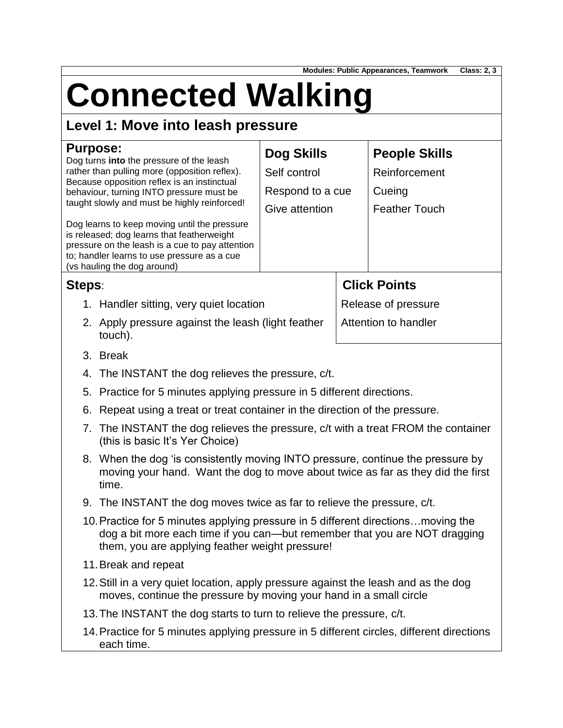**Modules: Public Appearances, Teamwork Class: 2, 3**

# **Connected Walking**

## **Level 1: Move into leash pressure**

| <b>Purpose:</b>                                                                                                                                                                                                             |                                                                                                                                                                                                                    | Dog Skills                                         |                     | <b>People Skills</b> |  |
|-----------------------------------------------------------------------------------------------------------------------------------------------------------------------------------------------------------------------------|--------------------------------------------------------------------------------------------------------------------------------------------------------------------------------------------------------------------|----------------------------------------------------|---------------------|----------------------|--|
| Dog turns into the pressure of the leash<br>rather than pulling more (opposition reflex).                                                                                                                                   |                                                                                                                                                                                                                    | Self control                                       |                     | Reinforcement        |  |
| Because opposition reflex is an instinctual<br>behaviour, turning INTO pressure must be<br>taught slowly and must be highly reinforced!                                                                                     |                                                                                                                                                                                                                    | Respond to a cue                                   |                     | Cueing               |  |
|                                                                                                                                                                                                                             |                                                                                                                                                                                                                    | Give attention                                     |                     | <b>Feather Touch</b> |  |
| Dog learns to keep moving until the pressure<br>is released; dog learns that featherweight<br>pressure on the leash is a cue to pay attention<br>to; handler learns to use pressure as a cue<br>(vs hauling the dog around) |                                                                                                                                                                                                                    |                                                    |                     |                      |  |
| Steps:                                                                                                                                                                                                                      |                                                                                                                                                                                                                    |                                                    |                     | <b>Click Points</b>  |  |
|                                                                                                                                                                                                                             | 1. Handler sitting, very quiet location                                                                                                                                                                            |                                                    | Release of pressure |                      |  |
|                                                                                                                                                                                                                             | touch).                                                                                                                                                                                                            | 2. Apply pressure against the leash (light feather |                     | Attention to handler |  |
|                                                                                                                                                                                                                             | 3. Break                                                                                                                                                                                                           |                                                    |                     |                      |  |
| 4.                                                                                                                                                                                                                          | The INSTANT the dog relieves the pressure, c/t.                                                                                                                                                                    |                                                    |                     |                      |  |
|                                                                                                                                                                                                                             | 5. Practice for 5 minutes applying pressure in 5 different directions.                                                                                                                                             |                                                    |                     |                      |  |
| 6.                                                                                                                                                                                                                          | Repeat using a treat or treat container in the direction of the pressure.                                                                                                                                          |                                                    |                     |                      |  |
|                                                                                                                                                                                                                             | 7. The INSTANT the dog relieves the pressure, c/t with a treat FROM the container<br>(this is basic It's Yer Choice)                                                                                               |                                                    |                     |                      |  |
|                                                                                                                                                                                                                             | 8. When the dog 'is consistently moving INTO pressure, continue the pressure by<br>moving your hand. Want the dog to move about twice as far as they did the first<br>time.                                        |                                                    |                     |                      |  |
|                                                                                                                                                                                                                             | 9. The INSTANT the dog moves twice as far to relieve the pressure, c/t.                                                                                                                                            |                                                    |                     |                      |  |
|                                                                                                                                                                                                                             | 10. Practice for 5 minutes applying pressure in 5 different directions moving the<br>dog a bit more each time if you can—but remember that you are NOT dragging<br>them, you are applying feather weight pressure! |                                                    |                     |                      |  |
| 11. Break and repeat                                                                                                                                                                                                        |                                                                                                                                                                                                                    |                                                    |                     |                      |  |
| 12. Still in a very quiet location, apply pressure against the leash and as the dog<br>moves, continue the pressure by moving your hand in a small circle                                                                   |                                                                                                                                                                                                                    |                                                    |                     |                      |  |
|                                                                                                                                                                                                                             | 13. The INSTANT the dog starts to turn to relieve the pressure, c/t.                                                                                                                                               |                                                    |                     |                      |  |
| 14. Practice for 5 minutes applying pressure in 5 different circles, different directions<br>each time.                                                                                                                     |                                                                                                                                                                                                                    |                                                    |                     |                      |  |